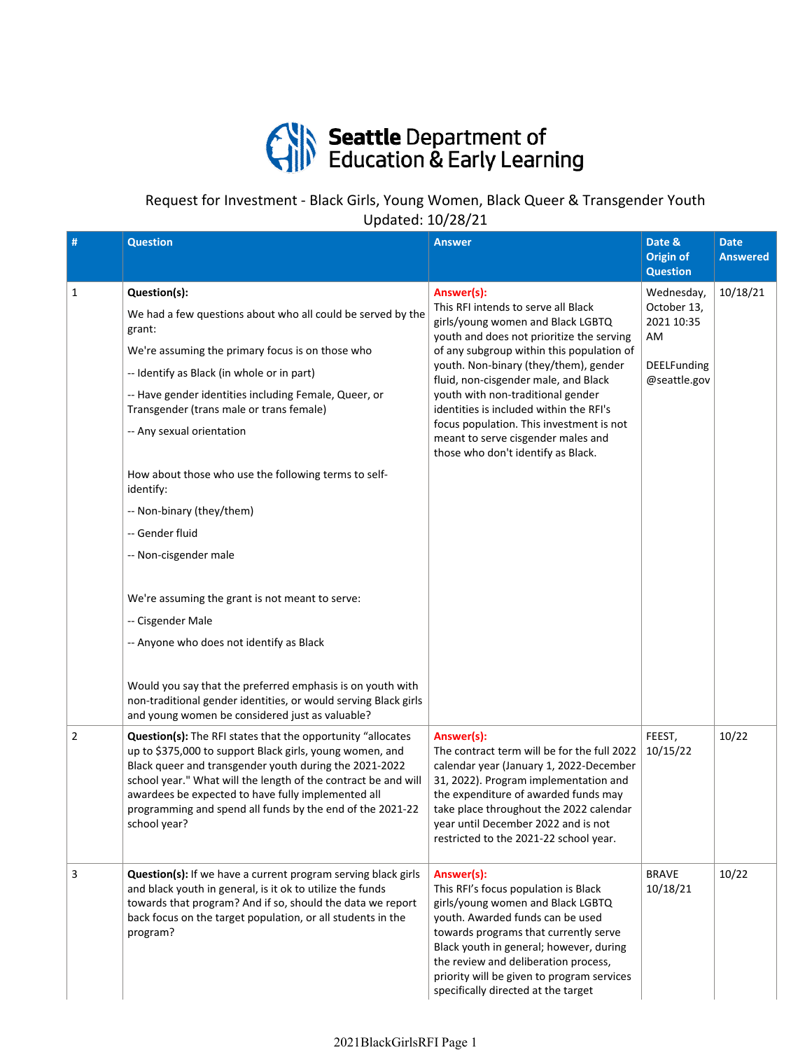

## Request for Investment ‐ Black Girls, Young Women, Black Queer & Transgender Youth Updated: 10/28/21

| #              | <b>Question</b>                                                                                                                                                                                                                                                                                                                                                                                                                                                                                                                                                                                                                                                                                                                                                                 | <b>Answer</b>                                                                                                                                                                                                                                                                                                                                                                                                                                                             | Date &<br><b>Origin of</b><br><b>Question</b>                                | <b>Date</b><br><b>Answered</b> |
|----------------|---------------------------------------------------------------------------------------------------------------------------------------------------------------------------------------------------------------------------------------------------------------------------------------------------------------------------------------------------------------------------------------------------------------------------------------------------------------------------------------------------------------------------------------------------------------------------------------------------------------------------------------------------------------------------------------------------------------------------------------------------------------------------------|---------------------------------------------------------------------------------------------------------------------------------------------------------------------------------------------------------------------------------------------------------------------------------------------------------------------------------------------------------------------------------------------------------------------------------------------------------------------------|------------------------------------------------------------------------------|--------------------------------|
| 1              | Question(s):<br>We had a few questions about who all could be served by the<br>grant:<br>We're assuming the primary focus is on those who<br>-- Identify as Black (in whole or in part)<br>-- Have gender identities including Female, Queer, or<br>Transgender (trans male or trans female)<br>-- Any sexual orientation<br>How about those who use the following terms to self-<br>identify:<br>-- Non-binary (they/them)<br>-- Gender fluid<br>-- Non-cisgender male<br>We're assuming the grant is not meant to serve:<br>-- Cisgender Male<br>-- Anyone who does not identify as Black<br>Would you say that the preferred emphasis is on youth with<br>non-traditional gender identities, or would serving Black girls<br>and young women be considered just as valuable? | Answer(s):<br>This RFI intends to serve all Black<br>girls/young women and Black LGBTQ<br>youth and does not prioritize the serving<br>of any subgroup within this population of<br>youth. Non-binary (they/them), gender<br>fluid, non-cisgender male, and Black<br>youth with non-traditional gender<br>identities is included within the RFI's<br>focus population. This investment is not<br>meant to serve cisgender males and<br>those who don't identify as Black. | Wednesday,<br>October 13,<br>2021 10:35<br>AM<br>DEELFunding<br>@seattle.gov | 10/18/21                       |
| $\overline{2}$ | <b>Question(s):</b> The RFI states that the opportunity "allocates<br>up to \$375,000 to support Black girls, young women, and<br>Black queer and transgender youth during the 2021-2022<br>school year." What will the length of the contract be and will<br>awardees be expected to have fully implemented all<br>programming and spend all funds by the end of the 2021-22<br>school year?                                                                                                                                                                                                                                                                                                                                                                                   | Answer(s):<br>The contract term will be for the full 2022<br>calendar year (January 1, 2022-December<br>31, 2022). Program implementation and<br>the expenditure of awarded funds may<br>take place throughout the 2022 calendar<br>year until December 2022 and is not<br>restricted to the 2021-22 school year.                                                                                                                                                         | FEEST,<br>10/15/22                                                           | 10/22                          |
| 3              | Question(s): If we have a current program serving black girls<br>and black youth in general, is it ok to utilize the funds<br>towards that program? And if so, should the data we report<br>back focus on the target population, or all students in the<br>program?                                                                                                                                                                                                                                                                                                                                                                                                                                                                                                             | Answer(s):<br>This RFI's focus population is Black<br>girls/young women and Black LGBTQ<br>youth. Awarded funds can be used<br>towards programs that currently serve<br>Black youth in general; however, during<br>the review and deliberation process,<br>priority will be given to program services<br>specifically directed at the target                                                                                                                              | <b>BRAVE</b><br>10/18/21                                                     | 10/22                          |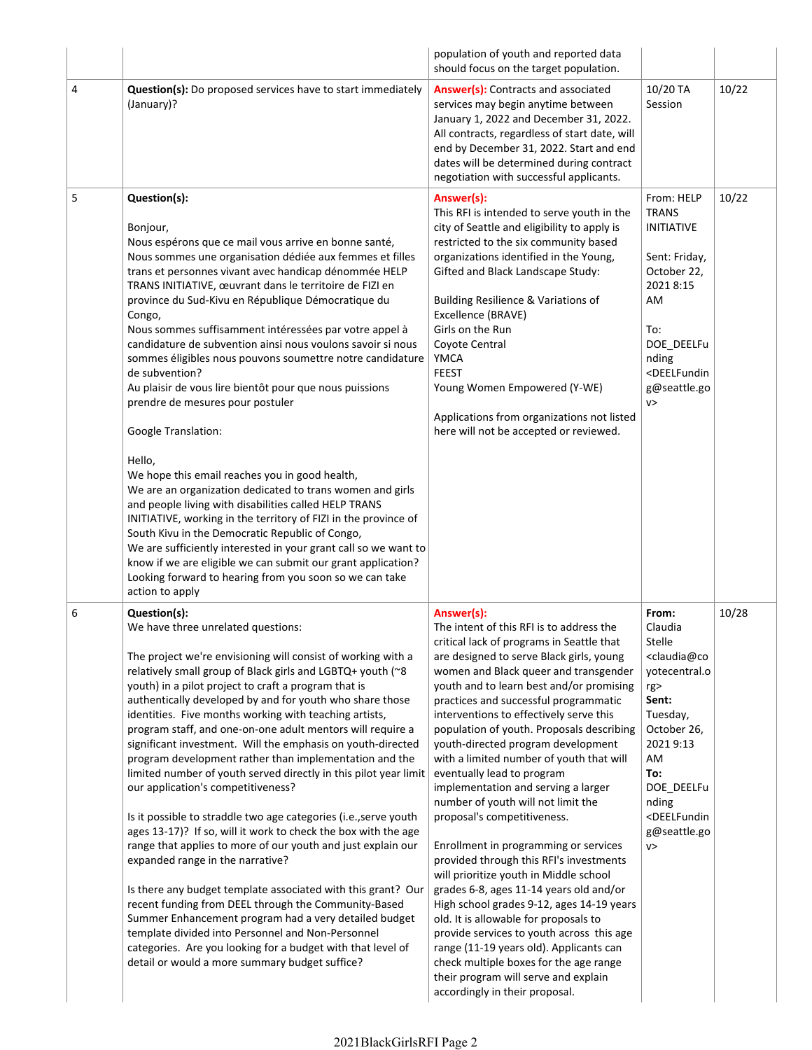|   |                                                                                                                                                                                                                                                                                                                                                                                                                                                                                                                                                                                                                                                                                                                                                                                                                                                                                                                                                                                                                                                                                                                                                                                                                                                                  | population of youth and reported data<br>should focus on the target population.                                                                                                                                                                                                                                                                                                                                                                                                                                                                                                                                                                                                                                                                                                                                                                                                                                                                                                                                                                                              |                                                                                                                                                                                                                                                     |       |
|---|------------------------------------------------------------------------------------------------------------------------------------------------------------------------------------------------------------------------------------------------------------------------------------------------------------------------------------------------------------------------------------------------------------------------------------------------------------------------------------------------------------------------------------------------------------------------------------------------------------------------------------------------------------------------------------------------------------------------------------------------------------------------------------------------------------------------------------------------------------------------------------------------------------------------------------------------------------------------------------------------------------------------------------------------------------------------------------------------------------------------------------------------------------------------------------------------------------------------------------------------------------------|------------------------------------------------------------------------------------------------------------------------------------------------------------------------------------------------------------------------------------------------------------------------------------------------------------------------------------------------------------------------------------------------------------------------------------------------------------------------------------------------------------------------------------------------------------------------------------------------------------------------------------------------------------------------------------------------------------------------------------------------------------------------------------------------------------------------------------------------------------------------------------------------------------------------------------------------------------------------------------------------------------------------------------------------------------------------------|-----------------------------------------------------------------------------------------------------------------------------------------------------------------------------------------------------------------------------------------------------|-------|
| 4 | <b>Question(s):</b> Do proposed services have to start immediately<br>(January)?                                                                                                                                                                                                                                                                                                                                                                                                                                                                                                                                                                                                                                                                                                                                                                                                                                                                                                                                                                                                                                                                                                                                                                                 | Answer(s): Contracts and associated<br>services may begin anytime between<br>January 1, 2022 and December 31, 2022.<br>All contracts, regardless of start date, will<br>end by December 31, 2022. Start and end<br>dates will be determined during contract<br>negotiation with successful applicants.                                                                                                                                                                                                                                                                                                                                                                                                                                                                                                                                                                                                                                                                                                                                                                       | 10/20 TA<br>Session                                                                                                                                                                                                                                 | 10/22 |
| 5 | Question(s):<br>Bonjour,<br>Nous espérons que ce mail vous arrive en bonne santé,<br>Nous sommes une organisation dédiée aux femmes et filles<br>trans et personnes vivant avec handicap dénommée HELP<br>TRANS INITIATIVE, œuvrant dans le territoire de FIZI en<br>province du Sud-Kivu en République Démocratique du<br>Congo,<br>Nous sommes suffisamment intéressées par votre appel à<br>candidature de subvention ainsi nous voulons savoir si nous<br>sommes éligibles nous pouvons soumettre notre candidature<br>de subvention?<br>Au plaisir de vous lire bientôt pour que nous puissions<br>prendre de mesures pour postuler<br>Google Translation:<br>Hello,<br>We hope this email reaches you in good health,<br>We are an organization dedicated to trans women and girls<br>and people living with disabilities called HELP TRANS<br>INITIATIVE, working in the territory of FIZI in the province of<br>South Kivu in the Democratic Republic of Congo,<br>We are sufficiently interested in your grant call so we want to<br>know if we are eligible we can submit our grant application?<br>Looking forward to hearing from you soon so we can take<br>action to apply                                                                         | Answer(s):<br>This RFI is intended to serve youth in the<br>city of Seattle and eligibility to apply is<br>restricted to the six community based<br>organizations identified in the Young,<br>Gifted and Black Landscape Study:<br>Building Resilience & Variations of<br>Excellence (BRAVE)<br>Girls on the Run<br>Coyote Central<br>YMCA<br><b>FEEST</b><br>Young Women Empowered (Y-WE)<br>Applications from organizations not listed<br>here will not be accepted or reviewed.                                                                                                                                                                                                                                                                                                                                                                                                                                                                                                                                                                                           | From: HELP<br><b>TRANS</b><br><b>INITIATIVE</b><br>Sent: Friday,<br>October 22,<br>2021 8:15<br>AM<br>To:<br>DOE_DEELFu<br>nding<br><deelfundin<br>g@seattle.go<br/>V &gt;</deelfundin<br>                                                          | 10/22 |
| 6 | Question(s):<br>We have three unrelated questions:<br>The project we're envisioning will consist of working with a<br>relatively small group of Black girls and LGBTQ+ youth (~8<br>youth) in a pilot project to craft a program that is<br>authentically developed by and for youth who share those<br>identities. Five months working with teaching artists,<br>program staff, and one-on-one adult mentors will require a<br>significant investment. Will the emphasis on youth-directed<br>program development rather than implementation and the<br>limited number of youth served directly in this pilot year limit<br>our application's competitiveness?<br>Is it possible to straddle two age categories (i.e., serve youth<br>ages 13-17)? If so, will it work to check the box with the age<br>range that applies to more of our youth and just explain our<br>expanded range in the narrative?<br>Is there any budget template associated with this grant? Our<br>recent funding from DEEL through the Community-Based<br>Summer Enhancement program had a very detailed budget<br>template divided into Personnel and Non-Personnel<br>categories. Are you looking for a budget with that level of<br>detail or would a more summary budget suffice? | Answer(s):<br>The intent of this RFI is to address the<br>critical lack of programs in Seattle that<br>are designed to serve Black girls, young<br>women and Black queer and transgender<br>youth and to learn best and/or promising<br>practices and successful programmatic<br>interventions to effectively serve this<br>population of youth. Proposals describing<br>youth-directed program development<br>with a limited number of youth that will<br>eventually lead to program<br>implementation and serving a larger<br>number of youth will not limit the<br>proposal's competitiveness.<br>Enrollment in programming or services<br>provided through this RFI's investments<br>will prioritize youth in Middle school<br>grades 6-8, ages 11-14 years old and/or<br>High school grades 9-12, ages 14-19 years<br>old. It is allowable for proposals to<br>provide services to youth across this age<br>range (11-19 years old). Applicants can<br>check multiple boxes for the age range<br>their program will serve and explain<br>accordingly in their proposal. | From:<br>Claudia<br><b>Stelle</b><br><claudia@co<br>yotecentral.o<br/>rg&gt;<br/>Sent:<br/>Tuesday,<br/>October 26,<br/>2021 9:13<br/>AM<br/>To:<br/>DOE_DEELFu<br/>nding<br/><deelfundin<br>g@seattle.go<br/>V&gt;</deelfundin<br></claudia@co<br> | 10/28 |